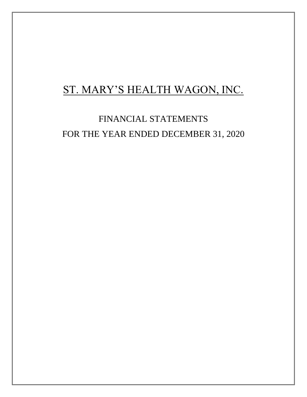# ST. MARY'S HEALTH WAGON, INC.

FINANCIAL STATEMENTS FOR THE YEAR ENDED DECEMBER 31, 2020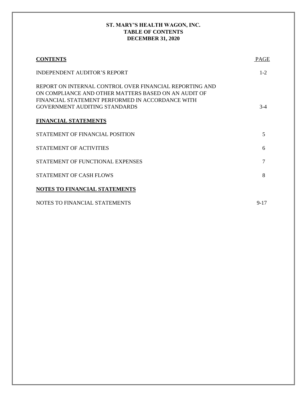## **ST. MARY'S HEALTH WAGON, INC. TABLE OF CONTENTS DECEMBER 31, 2020**

| <b>CONTENTS</b>                                                                                                                                                                                             | <b>PAGE</b> |
|-------------------------------------------------------------------------------------------------------------------------------------------------------------------------------------------------------------|-------------|
| <b>INDEPENDENT AUDITOR'S REPORT</b>                                                                                                                                                                         | $1 - 2$     |
| REPORT ON INTERNAL CONTROL OVER FINANCIAL REPORTING AND<br>ON COMPLIANCE AND OTHER MATTERS BASED ON AN AUDIT OF<br>FINANCIAL STATEMENT PERFORMED IN ACCORDANCE WITH<br><b>GOVERNMENT AUDITING STANDARDS</b> | $3-4$       |
| <b>FINANCIAL STATEMENTS</b>                                                                                                                                                                                 |             |
| STATEMENT OF FINANCIAL POSITION                                                                                                                                                                             | 5           |
| <b>STATEMENT OF ACTIVITIES</b>                                                                                                                                                                              | 6           |
| STATEMENT OF FUNCTIONAL EXPENSES                                                                                                                                                                            | 7           |
| <b>STATEMENT OF CASH FLOWS</b>                                                                                                                                                                              | 8           |
| NOTES TO FINANCIAL STATEMENTS                                                                                                                                                                               |             |
| NOTES TO FINANCIAL STATEMENTS                                                                                                                                                                               | $9 - 17$    |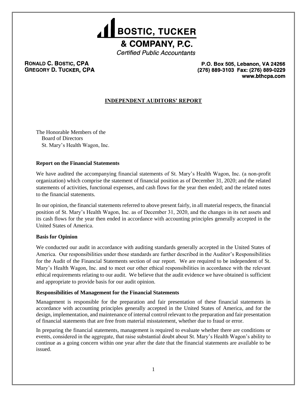

**Certified Public Accountants** 

## RONALD C. BOSTIC, CPA **GREGORY D. TUCKER, CPA**

P.O. Box 505, Lebanon, VA 24266 (276) 889-3103 Fax: (276) 889-0229 www.bthcpa.com

# **INDEPENDENT AUDITORS' REPORT**

The Honorable Members of the Board of Directors St. Mary's Health Wagon, Inc.

## **Report on the Financial Statements**

We have audited the accompanying financial statements of St. Mary's Health Wagon, Inc. (a non-profit organization) which comprise the statement of financial position as of December 31, 2020; and the related statements of activities, functional expenses, and cash flows for the year then ended; and the related notes to the financial statements.

In our opinion, the financial statements referred to above present fairly, in all material respects, the financial position of St. Mary's Health Wagon, Inc. as of December 31, 2020, and the changes in its net assets and its cash flows for the year then ended in accordance with accounting principles generally accepted in the United States of America.

#### **Basis for Opinion**

We conducted our audit in accordance with auditing standards generally accepted in the United States of America. Our responsibilities under those standards are further described in the Auditor's Responsibilities for the Audit of the Financial Statements section of our report. We are required to be independent of St. Mary's Health Wagon, Inc. and to meet our other ethical responsibilities in accordance with the relevant ethical requirements relating to our audit. We believe that the audit evidence we have obtained is sufficient and appropriate to provide basis for our audit opinion.

#### **Responsibilities of Management for the Financial Statements**

Management is responsible for the preparation and fair presentation of these financial statements in accordance with accounting principles generally accepted in the United States of America, and for the design, implementation, and maintenance of internal control relevant to the preparation and fair presentation of financial statements that are free from material misstatement, whether due to fraud or error.

In preparing the financial statements, management is required to evaluate whether there are conditions or events, considered in the aggregate, that raise substantial doubt about St. Mary's Health Wagon's ability to continue as a going concern within one year after the date that the financial statements are available to be issued.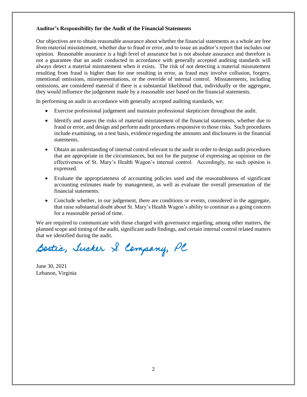#### **Auditor's Responsibility for the Audit of the Financial Statements**

Our objectives are to obtain reasonable assurance about whether the financial statements as a whole are free from material misstatement, whether due to fraud or error, and to issue an auditor's report that includes our opinion. Reasonable assurance is a high level of assurance but is not absolute assurance and therefore is not a guarantee that an audit conducted in accordance with generally accepted auditing standards will always detect a material misstatement when it exists. The risk of not detecting a material misstatement resulting from fraud is higher than for one resulting in error, as fraud may involve collusion, forgery, intentional omissions, misrepresentations, or the override of internal control. Misstatements, including omissions, are considered material if there is a substantial likelihood that, individually or the aggregate, they would influence the judgement made by a reasonable user based on the financial statements.

In performing an audit in accordance with generally accepted auditing standards, we:

- Exercise professional judgement and maintain professional skepticism throughout the audit.
- Identify and assess the risks of material misstatement of the financial statements, whether due to fraud or error, and design and perform audit procedures responsive to those risks. Such procedures include examining, on a test basis, evidence regarding the amounts and disclosures in the financial statements.
- Obtain an understanding of internal control relevant to the audit in order to design audit procedures that are appropriate in the circumstances, but not for the purpose of expressing an opinion on the effectiveness of St. Mary's Health Wagon's internal control. Accordingly, no such opinion is expressed.
- Evaluate the appropriateness of accounting policies used and the reasonableness of significant accounting estimates made by management, as well as evaluate the overall presentation of the financial statements.
- Conclude whether, in our judgement, there are conditions or events, considered in the aggregate, that raise substantial doubt about St. Mary's Health Wagon's ability to continue as a going concern for a reasonable period of time.

We are required to communicate with those charged with governance regarding, among other matters, the planned scope and timing of the audit, significant audit findings, and certain internal control related matters that we identified during the audit.

Bostic, Tucker & Company, PC

June 30, 2021 Lebanon, Virginia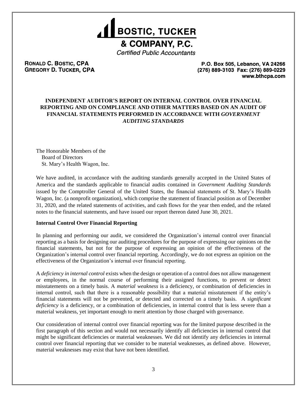

**Certified Public Accountants** 

## RONALD C. BOSTIC, CPA **GREGORY D. TUCKER, CPA**

P.O. Box 505, Lebanon, VA 24266 (276) 889-3103 Fax: (276) 889-0229 www.bthcpa.com

## **INDEPENDENT AUDITOR'S REPORT ON INTERNAL CONTROL OVER FINANCIAL REPORTING AND ON COMPLIANCE AND OTHER MATTERS BASED ON AN AUDIT OF FINANCIAL STATEMENTS PERFORMED IN ACCORDANCE WITH** *GOVERNMENT AUDITING STANDARDS*

The Honorable Members of the Board of Directors St. Mary's Health Wagon, Inc.

We have audited, in accordance with the auditing standards generally accepted in the United States of America and the standards applicable to financial audits contained in *Government Auditing Standards* issued by the Comptroller General of the United States, the financial statements of St. Mary's Health Wagon, Inc. (a nonprofit organization), which comprise the statement of financial position as of December 31, 2020, and the related statements of activities, and cash flows for the year then ended, and the related notes to the financial statements, and have issued our report thereon dated June 30, 2021.

#### **Internal Control Over Financial Reporting**

In planning and performing our audit, we considered the Organization's internal control over financial reporting as a basis for designing our auditing procedures for the purpose of expressing our opinions on the financial statements, but not for the purpose of expressing an opinion of the effectiveness of the Organization's internal control over financial reporting. Accordingly, we do not express an opinion on the effectiveness of the Organization's internal over financial reporting.

A *deficiency in internal control* exists when the design or operation of a control does not allow management or employees, in the normal course of performing their assigned functions, to prevent or detect misstatements on a timely basis. A *material weakness* is a deficiency, or combination of deficiencies in internal control, such that there is a reasonable possibility that a material misstatement if the entity's financial statements will not be prevented, or detected and corrected on a timely basis. A *significant deficiency* is a deficiency, or a combination of deficiencies, in internal control that is less severe than a material weakness, yet important enough to merit attention by those charged with governance.

Our consideration of internal control over financial reporting was for the limited purpose described in the first paragraph of this section and would not necessarily identify all deficiencies in internal control that might be significant deficiencies or material weaknesses. We did not identify any deficiencies in internal control over financial reporting that we consider to be material weaknesses, as defined above. However, material weaknesses may exist that have not been identified.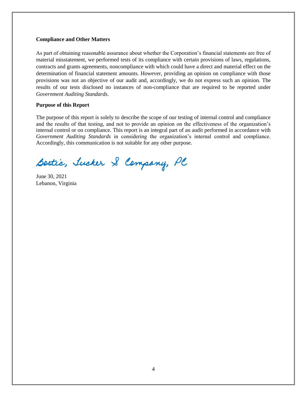#### **Compliance and Other Matters**

As part of obtaining reasonable assurance about whether the Corporation's financial statements are free of material misstatement, we performed tests of its compliance with certain provisions of laws, regulations, contracts and grants agreements, noncompliance with which could have a direct and material effect on the determination of financial statement amounts. However, providing an opinion on compliance with those provisions was not an objective of our audit and, accordingly, we do not express such an opinion. The results of our tests disclosed no instances of non-compliance that are required to be reported under *Government Auditing Standards*.

#### **Purpose of this Report**

The purpose of this report is solely to describe the scope of our testing of internal control and compliance and the results of that testing, and not to provide an opinion on the effectiveness of the organization's internal control or on compliance. This report is an integral part of an audit performed in accordance with *Government Auditing Standards* in considering the organization's internal control and compliance. Accordingly, this communication is not suitable for any other purpose.

Bostic, Tucker & Company, PC

June 30, 2021 Lebanon, Virginia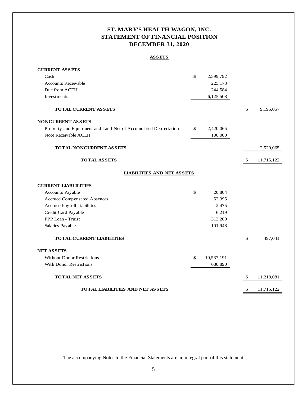# **ST. MARY'S HEALTH WAGON, INC. STATEMENT OF FINANCIAL POSITION DECEMBER 31, 2020**

#### **ASSETS**

| <b>CURRENT ASSETS</b>                                           |                  |                  |
|-----------------------------------------------------------------|------------------|------------------|
| Cash                                                            | \$<br>2,599,792  |                  |
| <b>Accounts Receivable</b>                                      | 225,173          |                  |
| Due from ACEH                                                   | 244,584          |                  |
| Investments                                                     | 6,125,508        |                  |
| <b>TOTAL CURRENT ASSETS</b>                                     |                  | \$<br>9,195,057  |
| <b>NONCURRENT ASSETS</b>                                        |                  |                  |
| Property and Equipment and Land-Net of Accumulated Depreciation | \$<br>2,420,065  |                  |
| Note Receivable ACEH                                            | 100,000          |                  |
| TOTAL NONCURRENT ASSETS                                         |                  | 2,520,065        |
| <b>TOTAL ASSETS</b>                                             |                  | \$<br>11,715,122 |
| <b>LIABILITIES AND NET ASSETS</b>                               |                  |                  |
| <b>CURRENT LIABLILITIES</b>                                     |                  |                  |
| Accounts Payable                                                | \$<br>20,804     |                  |
| <b>Accrued Compensated Absences</b>                             | 52,395           |                  |
| Accrued Payroll Liabilities                                     | 2,475            |                  |
| Credit Card Payable                                             | 6,219            |                  |
| PPP Loan - Truist                                               | 313,200          |                  |
| Salaries Payable                                                | 101,948          |                  |
| <b>TOTAL CURRENT LIABILITIES</b>                                |                  | \$<br>497,041    |
| <b>NET ASSETS</b>                                               |                  |                  |
| <b>Without Donor Restrictions</b>                               | \$<br>10,537,191 |                  |
| <b>With Donor Restrictions</b>                                  | 680,890          |                  |
| <b>TOTAL NET ASSETS</b>                                         |                  | \$<br>11,218,081 |
| <b>TOTAL LIABILITIES AND NET ASSETS</b>                         |                  | \$<br>11,715,122 |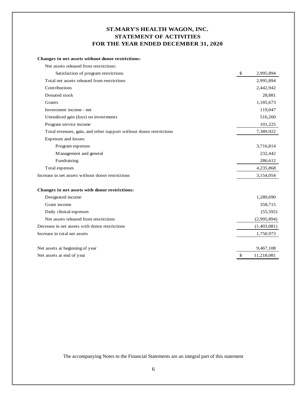# **ST.MARY'S HEALTH WAGON, INC. STATEMENT OF ACTIVITIES FOR THE YEAR ENDED DECEMBER 31, 2020**

#### **Changes in net assets without donor restrictions:**

| Net assets released from restrictions:                             |    |             |
|--------------------------------------------------------------------|----|-------------|
| Satisfaction of program restrictions                               | \$ | 2,995,894   |
| Total net assets released from restrictions                        |    | 2,995,894   |
| Contributions                                                      |    | 2,442,942   |
| Donated stock                                                      |    | 28,881      |
| Grants                                                             |    | 1,185,673   |
| Investment income - net                                            |    | 119,047     |
| Unrealized gain (loss) on investments                              |    | 516,260     |
| Program service income                                             |    | 101,225     |
| Total revenues, gain, and other support without donor restrictions |    | 7,389,922   |
| Expenses and losses:                                               |    |             |
| Program expenses                                                   |    | 3,716,814   |
| Management and general                                             |    | 232,442     |
| Fundraising                                                        |    | 286,612     |
| Total expenses                                                     |    | 4,235,868   |
| Increase in net assets without donor restrictions                  |    | 3,154,054   |
| Changes in net assets with donor restrictions:                     |    |             |
| Designated income                                                  |    | 1,289,690   |
| Grant income                                                       |    | 358,715     |
| Daily clinical expenses                                            |    | (55, 592)   |
| Net assets released from restrictions                              |    | (2,995,894) |
| Decrease in net assets with donor restrictions                     |    | (1,403,081) |
| Increase in total net assets                                       |    | 1,750,973   |
| Net assets at beginning of year                                    |    | 9,467,108   |
| Net assets at end of year                                          | S. | 11,218,081  |
|                                                                    |    |             |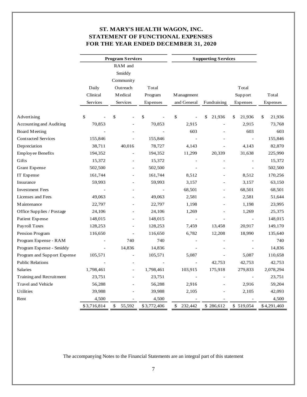# **ST. MARY'S HEALTH WAGON, INC. STATEMENT OF FUNCTIONAL EXPENSES FOR THE YEAR ENDED DECEMBER 31, 2020**

|                             | <b>Program Services</b><br><b>Supporting Services</b> |                |             |                |                |                          |              |
|-----------------------------|-------------------------------------------------------|----------------|-------------|----------------|----------------|--------------------------|--------------|
|                             |                                                       | RAM and        |             |                |                |                          |              |
|                             |                                                       | Smiddy         |             |                |                |                          |              |
|                             |                                                       | Community      |             |                |                |                          |              |
|                             | Daily                                                 | Outreach       | Total       |                |                | Total                    |              |
|                             | Clinical                                              | M edical       | Program     | M anagement    |                | Support                  | Total        |
|                             | Services                                              | Services       | Expenses    | and General    | Fundraising    | Expenses                 | Expenses     |
|                             |                                                       |                |             |                |                |                          |              |
| Advertising                 | \$                                                    | \$             | \$          | \$             | \$<br>21,936   | 21,936<br>\$             | \$<br>21,936 |
| Accounting and Auditing     | 70,853                                                |                | 70,853      | 2,915          |                | 2,915                    | 73,768       |
| <b>Board Meeting</b>        |                                                       |                |             | 603            |                | 603                      | 603          |
| <b>Contracted Services</b>  | 155,846                                               |                | 155,846     |                |                | $\Box$                   | 155,846      |
| Depreciation                | 38,711                                                | 40,016         | 78,727      | 4,143          |                | 4,143                    | 82,870       |
| <b>Employee Benefits</b>    | 194,352                                               |                | 194,352     | 11,299         | 20,339         | 31,638                   | 225,990      |
| Gifts                       | 15,372                                                |                | 15,372      |                |                | $\overline{a}$           | 15,372       |
| <b>Grant Expense</b>        | 502,500                                               |                | 502,500     |                |                | $\bar{\phantom{a}}$      | 502,500      |
| IT Expense                  | 161,744                                               |                | 161,744     | 8,512          |                | 8,512                    | 170,256      |
| Insurance                   | 59,993                                                |                | 59,993      | 3,157          |                | 3,157                    | 63,150       |
| <b>Investment Fees</b>      |                                                       |                |             | 68,501         | ۳              | 68,501                   | 68,501       |
| Licenses and Fees           | 49,063                                                |                | 49,063      | 2,581          |                | 2,581                    | 51,644       |
| M aintenance                | 22,797                                                | $\overline{a}$ | 22,797      | 1,198          |                | 1,198                    | 23,995       |
| Office Supplies / Postage   | 24,106                                                | $\overline{a}$ | 24,106      | 1,269          |                | 1,269                    | 25,375       |
| Patient Expense             | 148,015                                               | $\blacksquare$ | 148,015     | ÷,             | ÷,             | $\bar{\phantom{a}}$      | 148,015      |
| Payroll Taxes               | 128,253                                               |                | 128,253     | 7,459          | 13,458         | 20,917                   | 149,170      |
| Pension Program             | 116,650                                               |                | 116,650     | 6,782          | 12,208         | 18,990                   | 135,640      |
| Program Expense - RAM       |                                                       | 740            | 740         |                |                |                          | 740          |
| Program Expense - Smiddy    |                                                       | 14,836         | 14,836      |                |                |                          | 14,836       |
| Program and Support Expense | 105,571                                               |                | 105,571     | 5,087          | $\overline{a}$ | 5,087                    | 110,658      |
| <b>Public Relations</b>     |                                                       |                |             | $\Box$         | 42,753         | 42,753                   | 42,753       |
| Salaries                    | 1,798,461                                             |                | 1,798,461   | 103,915        | 175,918        | 279,833                  | 2,078,294    |
| Training and Recruitment    | 23,751                                                |                | 23,751      | $\blacksquare$ |                | $\overline{\phantom{a}}$ | 23,751       |
| <b>Travel and Vehicle</b>   | 56,288                                                |                | 56,288      | 2,916          |                | 2,916                    | 59,204       |
| Utilities                   | 39,988                                                |                | 39,988      | 2,105          |                | 2,105                    | 42,093       |
| Rent                        | 4,500                                                 |                | 4,500       |                |                |                          | 4,500        |
|                             | \$3,716,814                                           | \$<br>55,592   | \$3,772,406 | \$<br>232,442  | \$286,612      | \$519,054                | \$4,291,460  |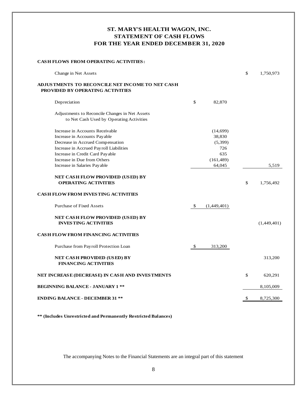# **ST. MARY'S HEALTH WAGON, INC. STATEMENT OF CASH FLOWS FOR THE YEAR ENDED DECEMBER 31, 2020**

#### **CASH FLOWS FROM OPERATING ACTIVITIES:**

| Change in Net Assets                                                                                                                                                                                                                             |                                                                     | \$<br>1,750,973 |
|--------------------------------------------------------------------------------------------------------------------------------------------------------------------------------------------------------------------------------------------------|---------------------------------------------------------------------|-----------------|
| ADJUS TMENTS TO RECONCILE NET INCOME TO NET CASH<br>PROVIDED BY OPERATING ACTIVITIES                                                                                                                                                             |                                                                     |                 |
| Depreciation                                                                                                                                                                                                                                     | \$<br>82,870                                                        |                 |
| Adjustments to Reconcile Changes in Net Assets<br>to Net Cash Used by Operating Activities                                                                                                                                                       |                                                                     |                 |
| Increase in Accounts Receivable<br>Increase in Accounts Payable<br>Decrease in Accrued Compensation<br>Increase in Accrued Payroll Liabilities<br>Increase in Credit Card Payable<br>Increase in Due from Others<br>Increase in Salaries Payable | (14,699)<br>38,830<br>(5,399)<br>726<br>635<br>(161, 489)<br>64,045 | 5,519           |
| NET CASH FLOW PROVIDED (USED) BY<br><b>OPERATING ACTIVITIES</b>                                                                                                                                                                                  |                                                                     | \$<br>1,756,492 |
| <b>CASH FLOW FROM INVESTING ACTIVITIES</b>                                                                                                                                                                                                       |                                                                     |                 |
| <b>Purchase of Fixed Assets</b>                                                                                                                                                                                                                  | \$<br>(1,449,401)                                                   |                 |
| <b>NET CASH FLOW PROVIDED (USED) BY</b><br><b>INVESTING ACTIVITIES</b>                                                                                                                                                                           |                                                                     | (1,449,401)     |
| <b>CASH FLOW FROM FINANCING ACTIVITIES</b>                                                                                                                                                                                                       |                                                                     |                 |
| Purchase from Payroll Protection Loan                                                                                                                                                                                                            | \$<br>313,200                                                       |                 |
| <b>NET CASH PROVIDED (USED) BY</b><br><b>FINANCING ACTIVITIES</b>                                                                                                                                                                                |                                                                     | 313,200         |
| NET INCREASE (DECREASE) IN CASH AND INVESTMENTS                                                                                                                                                                                                  |                                                                     | \$<br>620,291   |
| <b>BEGINNING BALANCE - JANUARY 1 **</b>                                                                                                                                                                                                          |                                                                     | 8,105,009       |
| <b>ENDING BALANCE - DECEMBER 31 **</b>                                                                                                                                                                                                           |                                                                     | \$<br>8,725,300 |

**\*\* (Includes Unrestricted and Permanently Restricted Balances)**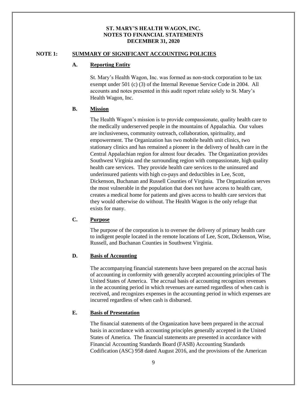#### **NOTE 1: SUMMARY OF SIGNIFICANT ACCOUNTING POLICIES**

#### **A. Reporting Entity**

St. Mary's Health Wagon, Inc. was formed as non-stock corporation to be tax exempt under 501 (c) (3) of the Internal Revenue Service Code in 2004. All accounts and notes presented in this audit report relate solely to St. Mary's Health Wagon, Inc.

#### **B. Mission**

The Health Wagon's mission is to provide compassionate, quality health care to the medically underserved people in the mountains of Appalachia. Our values are inclusiveness, community outreach, collaboration, spirituality, and empowerment. The Organization has two mobile health unit clinics, two stationary clinics and has remained a pioneer in the delivery of health care in the Central Appalachian region for almost four decades. The Organization provides Southwest Virginia and the surrounding region with compassionate, high quality health care services. They provide health care services to the uninsured and underinsured patients with high co-pays and deductibles in Lee, Scott, Dickenson, Buchanan and Russell Counties of Virginia. The Organization serves the most vulnerable in the population that does not have access to health care, creates a medical home for patients and gives access to health care services that they would otherwise do without. The Health Wagon is the only refuge that exists for many.

## **C. Purpose**

The purpose of the corporation is to oversee the delivery of primary health care to indigent people located in the remote locations of Lee, Scott, Dickenson, Wise, Russell, and Buchanan Counties in Southwest Virginia.

#### **D. Basis of Accounting**

The accompanying financial statements have been prepared on the accrual basis of accounting in conformity with generally accepted accounting principles of The United States of America. The accrual basis of accounting recognizes revenues in the accounting period in which revenues are earned regardless of when cash is received, and recognizes expenses in the accounting period in which expenses are incurred regardless of when cash is disbursed.

#### **E. Basis of Presentation**

The financial statements of the Organization have been prepared in the accrual basis in accordance with accounting principles generally accepted in the United States of America. The financial statements are presented in accordance with Financial Accounting Standards Board (FASB) Accounting Standards Codification (ASC) 958 dated August 2016, and the provisions of the American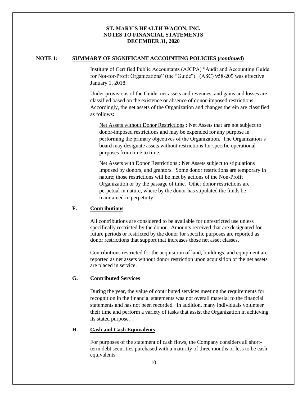#### **NOTE 1: SUMMARY OF SIGNIFICANT ACCOUNTING POLICIES (***continued***)**

Institute of Certified Public Accountants (AJCPA) "Audit and Accounting Guide for Not-for-Profit Organizations" (the "Guide"). (ASC) 958-205 was effective January 1, 2018.

Under provisions of the Guide, net assets and revenues, and gains and losses are classified based on the existence or absence of donor-imposed restrictions. Accordingly, the net assets of the Organization and changes therein are classified as follows:

Net Assets without Donor Restrictions : Net Assets that are not subject to donor-imposed restrictions and may be expended for any purpose in performing the primary objectives of the Organization. The Organization's board may designate assets without restrictions for specific operational purposes from time to time.

Net Assets with Donor Restrictions : Net Assets subject to stipulations imposed by donors, and grantors. Some donor restrictions are temporary in nature; those restrictions will be met by actions of the Non-Profit Organization or by the passage of time. Other donor restrictions are perpetual in nature, where by the donor has stipulated the funds be maintained in perpetuity.

#### **F. Contributions**

All contributions are considered to be available for unrestricted use unless specifically restricted by the donor. Amounts received that are designated for future periods or restricted by the donor for specific purposes are reported as donor restrictions that support that increases those net asset classes.

Contributions restricted for the acquisition of land, buildings, and equipment are reported as net assets without donor restriction upon acquisition of the net assets are placed in service.

## **G. Contributed Services**

During the year, the value of contributed services meeting the requirements for recognition in the financial statements was not overall material to the financial statements and has not been recorded. In addition, many individuals volunteer their time and perform a variety of tasks that assist the Organization in achieving its stated purpose.

#### **H. Cash and Cash Equivalents**

For purposes of the statement of cash flows, the Company considers all shortterm debt securities purchased with a maturity of three months or less to be cash equivalents.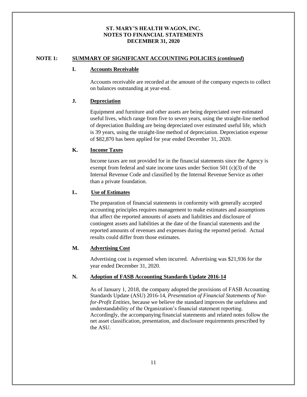#### **NOTE 1: SUMMARY OF SIGNIFICANT ACCOUNTING POLICIES (***continued***)**

#### **I. Accounts Receivable**

Accounts receivable are recorded at the amount of the company expects to collect on balances outstanding at year-end.

## **J. Depreciation**

Equipment and furniture and other assets are being depreciated over estimated useful lives, which range from five to seven years, using the straight-line method of depreciation Building are being depreciated over estimated useful life, which is 39 years, using the straight-line method of depreciation. Depreciation expense of \$82,870 has been applied for year ended December 31, 2020.

## **K. Income Taxes**

Income taxes are not provided for in the financial statements since the Agency is exempt from federal and state income taxes under Section 501 (c)(3) of the Internal Revenue Code and classified by the Internal Revenue Service as other than a private foundation.

## **L. Use of Estimates**

The preparation of financial statements in conformity with generally accepted accounting principles requires management to make estimates and assumptions that affect the reported amounts of assets and liabilities and disclosure of contingent assets and liabilities at the date of the financial statements and the reported amounts of revenues and expenses during the reported period. Actual results could differ from those estimates.

## **M. Advertising Cost**

Advertising cost is expensed when incurred. Advertising was \$21,936 for the year ended December 31, 2020.

#### **N. Adoption of FASB Accounting Standards Update 2016-14**

As of January 1, 2018, the company adopted the provisions of FASB Accounting Standards Update (ASU) 2016-14, *Presentation of Financial Statements of Notfor-Profit Entities*, because we believe the standard improves the usefulness and understandability of the Organization's financial statement reporting. Accordingly, the accompanying financial statements and related notes follow the net asset classification, presentation, and disclosure requirements prescribed by the ASU.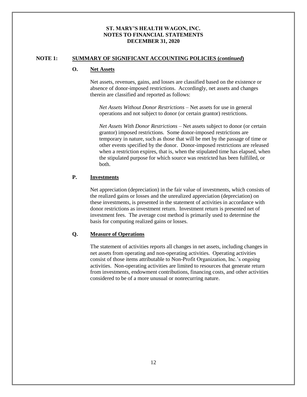#### **NOTE 1: SUMMARY OF SIGNIFICANT ACCOUNTING POLICIES (***continued***)**

## **O. Net Assets**

Net assets, revenues, gains, and losses are classified based on the existence or absence of donor-imposed restrictions. Accordingly, net assets and changes therein are classified and reported as follows:

*Net Assets Without Donor Restrictions –* Net assets for use in general operations and not subject to donor (or certain grantor) restrictions.

*Net Assets With Donor Restrictions* – Net assets subject to donor (or certain grantor) imposed restrictions. Some donor-imposed restrictions are temporary in nature, such as those that will be met by the passage of time or other events specified by the donor. Donor-imposed restrictions are released when a restriction expires, that is, when the stipulated time has elapsed, when the stipulated purpose for which source was restricted has been fulfilled, or both.

#### **P. Investments**

Net appreciation (depreciation) in the fair value of investments, which consists of the realized gains or losses and the unrealized appreciation (depreciation) on these investments, is presented in the statement of activities in accordance with donor restrictions as investment return. Investment return is presented net of investment fees. The average cost method is primarily used to determine the basis for computing realized gains or losses.

#### **Q. Measure of Operations**

The statement of activities reports all changes in net assets, including changes in net assets from operating and non-operating activities. Operating activities consist of those items attributable to Non-Profit Organization, Inc.'s ongoing activities. Non-operating activities are limited to resources that generate return from investments, endowment contributions, financing costs, and other activities considered to be of a more unusual or nonrecurring nature.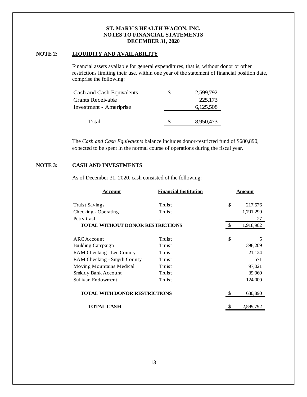# **NOTE 2: LIQUIDITY AND AVAILABILITY**

Financial assets available for general expenditures, that is, without donor or other restrictions limiting their use, within one year of the statement of financial position date, comprise the following:

| Total                     | Я | 8,950,473 |
|---------------------------|---|-----------|
| Investment - Ameriprise   |   | 6,125,508 |
| Grants Receivable         |   | 225,173   |
| Cash and Cash Equivalents | S | 2,599,792 |

The *Cash and Cash Equivalents* balance includes donor-restricted fund of \$680,890, expected to be spent in the normal course of operations during the fiscal year.

## **NOTE 3: CASH AND INVESTMENTS**

As of December 31, 2020, cash consisted of the following:

| Account                                 | <b>Financial Institution</b> |               | Amount    |
|-----------------------------------------|------------------------------|---------------|-----------|
| <b>Truist Savings</b>                   | Truist                       | \$            | 217,576   |
| Checking - Operating                    | Truist                       |               | 1,701,299 |
| Petty Cash                              |                              |               | 27        |
| <b>TOTAL WITHOUT DONOR RESTRICTIONS</b> |                              | $\mathcal{S}$ | 1,918,902 |
| ARC Account                             | Truist                       | \$            | 5         |
| Building Campaign                       | Truist                       |               | 398,209   |
| RAM Checking - Lee County               | Truist                       |               | 21,124    |
| RAM Checking - Smyth County             | Truist                       |               | 571       |
| Moving Mountains Medical                | Truist                       |               | 97,021    |
| Smiddy Bank Account                     | Truist                       |               | 39,960    |
| Sullivan Endowment                      | Truist                       |               | 124,000   |
| <b>TOTAL WITH DONOR RESTRICTIONS</b>    |                              | \$            | 680,890   |
| <b>TOTAL CASH</b>                       |                              | \$            | 2,599,792 |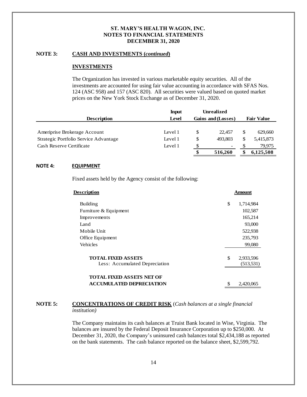#### **NOTE 3: CASH AND INVESTMENTS (***continued***)**

#### **INVESTMENTS**

The Organization has invested in various marketable equity securities. All of the investments are accounted for using fair value accounting in accordance with SFAS Nos. 124 (ASC 958) and 157 (ASC 820). All securities were valued based on quoted market prices on the New York Stock Exchange as of December 31, 2020.

|                                       | Input   |    | <b>Unrealized</b>        |   |                   |
|---------------------------------------|---------|----|--------------------------|---|-------------------|
| <b>Description</b>                    | Level   |    | Gains and (Losses)       |   | <b>Fair Value</b> |
|                                       |         |    |                          |   |                   |
| Ameriprise Brokerage Account          | Level 1 | S  | 22,457                   | S | 629,660           |
| Strategic Portfolio Service Advantage | Level 1 | S  | 493.803                  | S | 5,415,873         |
| Cash Reserve Certificate              | Level 1 | S. | $\overline{\phantom{a}}$ |   | 79.975            |
|                                       |         | \$ | 516,260                  | S | 6,125,508         |

#### **NOTE 4: EQUIPMENT**

Fixed assets held by the Agency consist of the following:

| <u>Description</u>                                          | <b>Amount</b>                 |
|-------------------------------------------------------------|-------------------------------|
| <b>Building</b>                                             | \$<br>1,714,984               |
| Furniture & Equipment                                       | 102,587                       |
| Improvements                                                | 165,214                       |
| Land                                                        | 93,000                        |
| Mobile Unit                                                 | 522,938                       |
| Office Equipment                                            | 235,793                       |
| Vehicles                                                    | 99,080                        |
| <b>TOTAL FIXED ASSETS</b><br>Less: Accumulated Depreciation | \$<br>2,933,596<br>(513, 531) |
|                                                             |                               |
| TOTAL FIXED ASSETS NET OF                                   |                               |
| <b>ACCUMULATED DEPRECIATION</b>                             | \$<br>2,420,065               |

#### **NOTE 5: CONCENTRATIONS OF CREDIT RISK** (*Cash balances at a single financial institution)*

The Company maintains its cash balances at Truist Bank located in Wise, Virginia. The balances are insured by the Federal Deposit Insurance Corporation up to \$250,000. At December 31, 2020, the Company's uninsured cash balances total \$2,434,188 as reported on the bank statements. The cash balance reported on the balance sheet, \$2,599,792.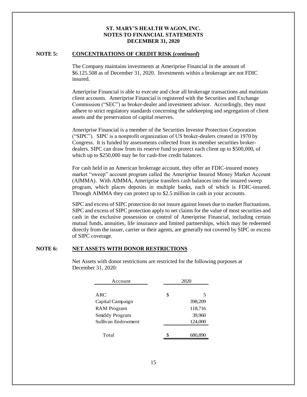#### **NOTE 5: CONCENTRATIONS OF CREDIT RISK (***continued***)**

The Company maintains investments at Ameriprise Financial in the amount of \$6.125.508 as of December 31, 2020. Investments within a brokerage are not FDIC insured.

Ameriprise Financial is able to execute and clear all brokerage transactions and maintain client accounts. Ameriprise Financial is registered with the Securities and Exchange Commission ("SEC") as broker-dealer and investment advisor. Accordingly, they must adhere to strict regulatory standards concerning the safekeeping and segregation of client assets and the preservation of capital reserves.

Ameriprise Financial is a member of the Securities Investor Protection Corporation ("SIPC"). SIPC is a nonprofit organization of US broker-dealers created in 1970 by Congress. It is funded by assessments collected from its member securities brokerdealers. SIPC can draw from its reserve fund to protect each client up to \$500,000, of which up to \$250,000 may be for cash-free credit balances.

For cash held in an American brokerage account, they offer an FDIC-insured money market "sweep" account program called the Ameriprise Insured Money Market Account (AIMMA). With AIMMA, Ameriprise transfers cash balances into the insured sweep program, which places deposits in multiple banks, each of which is FDIC-insured. Through AIMMA they can protect up to \$2.5 million in cash in your accounts.

SIPC and excess of SIPC protection do not insure against losses due to market fluctuations. SIPC and excess of SIPC protection apply to net claims for the value of most securities and cash in the exclusive possession or control of Ameriprise Financial, including certain mutual funds, annuities, life insurance and limited partnerships, which may be redeemed directly from the issuer, carrier or their agents, are generally not covered by SIPC or excess of SIPC coverage.

#### **NOTE 6: NET ASSETS WITH DONOR RESTRICTIONS**

Net Assets with donor restrictions are restricted for the following purposes at December 31, 2020:

| Account            | 2020          |  |  |
|--------------------|---------------|--|--|
|                    |               |  |  |
| ARC                | \$<br>5       |  |  |
| Capital Campaign   | 398,209       |  |  |
| <b>RAM</b> Program | 118,716       |  |  |
| Smiddy Program     | 39,960        |  |  |
| Sullivan Endowment | 124,000       |  |  |
|                    |               |  |  |
| Total              | \$<br>680,890 |  |  |
|                    |               |  |  |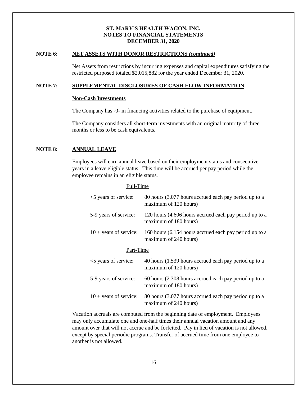#### **NOTE 6: NET ASSETS WITH DONOR RESTRICTIONS** *(continued)*

Net Assets from restrictions by incurring expenses and capital expenditures satisfying the restricted purposed totaled \$2,015,882 for the year ended December 31, 2020.

#### **NOTE 7: SUPPLEMENTAL DISCLOSURES OF CASH FLOW INFORMATION**

#### **Non-Cash Investments**

The Company has -0- in financing activities related to the purchase of equipment.

The Company considers all short-term investments with an original maturity of three months or less to be cash equivalents.

#### **NOTE 8: ANNUAL LEAVE**

Employees will earn annual leave based on their employment status and consecutive years in a leave eligible status. This time will be accrued per pay period while the employee remains in an eligible status.

#### Full-Time

| <5 years of service:            | 80 hours (3.077 hours accrued each pay period up to a<br>maximum of 120 hours)  |
|---------------------------------|---------------------------------------------------------------------------------|
| 5-9 years of service:           | 120 hours (4.606 hours accrued each pay period up to a<br>maximum of 180 hours) |
| $10 + \text{years}$ of service: | 160 hours (6.154 hours accrued each pay period up to a<br>maximum of 240 hours) |
| Part-Time                       |                                                                                 |
| <5 years of service:            | 40 hours (1.539 hours accrued each pay period up to a<br>maximum of 120 hours)  |
| 5-9 years of service:           | 60 hours (2.308 hours accrued each pay period up to a<br>maximum of 180 hours)  |
| $10 + \text{years}$ of service: | 80 hours (3.077 hours accrued each pay period up to a<br>maximum of 240 hours)  |

Vacation accruals are computed from the beginning date of employment. Employees may only accumulate one and one-half times their annual vacation amount and any amount over that will not accrue and be forfeited. Pay in lieu of vacation is not allowed, except by special periodic programs. Transfer of accrued time from one employee to another is not allowed.